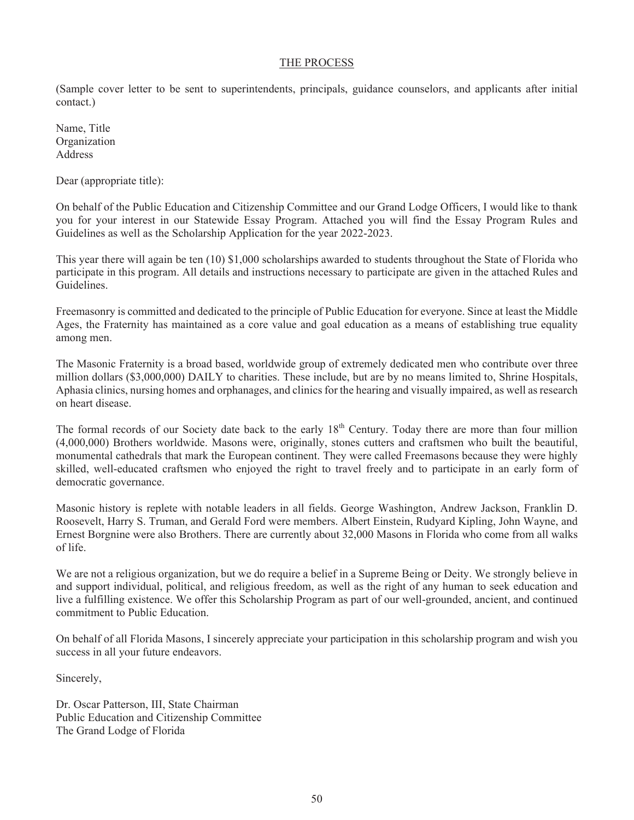### THE PROCESS

(Sample cover letter to be sent to superintendents, principals, guidance counselors, and applicants after initial contact.)

Name, Title Organization Address

Dear (appropriate title):

On behalf of the Public Education and Citizenship Committee and our Grand Lodge Officers, I would like to thank you for your interest in our Statewide Essay Program. Attached you will find the Essay Program Rules and Guidelines as well as the Scholarship Application for the year 2022-2023.

This year there will again be ten (10) \$1,000 scholarships awarded to students throughout the State of Florida who participate in this program. All details and instructions necessary to participate are given in the attached Rules and Guidelines.

Freemasonry is committed and dedicated to the principle of Public Education for everyone. Since at least the Middle Ages, the Fraternity has maintained as a core value and goal education as a means of establishing true equality among men.

The Masonic Fraternity is a broad based, worldwide group of extremely dedicated men who contribute over three million dollars (\$3,000,000) DAILY to charities. These include, but are by no means limited to, Shrine Hospitals, Aphasia clinics, nursing homes and orphanages, and clinics for the hearing and visually impaired, as well as research on heart disease.

The formal records of our Society date back to the early 18<sup>th</sup> Century. Today there are more than four million (4,000,000) Brothers worldwide. Masons were, originally, stones cutters and craftsmen who built the beautiful, monumental cathedrals that mark the European continent. They were called Freemasons because they were highly skilled, well-educated craftsmen who enjoyed the right to travel freely and to participate in an early form of democratic governance.

Masonic history is replete with notable leaders in all fields. George Washington, Andrew Jackson, Franklin D. Roosevelt, Harry S. Truman, and Gerald Ford were members. Albert Einstein, Rudyard Kipling, John Wayne, and Ernest Borgnine were also Brothers. There are currently about 32,000 Masons in Florida who come from all walks of life.

We are not a religious organization, but we do require a belief in a Supreme Being or Deity. We strongly believe in and support individual, political, and religious freedom, as well as the right of any human to seek education and live a fulfilling existence. We offer this Scholarship Program as part of our well-grounded, ancient, and continued commitment to Public Education.

On behalf of all Florida Masons, I sincerely appreciate your participation in this scholarship program and wish you success in all your future endeavors.

Sincerely,

Dr. Oscar Patterson, III, State Chairman Public Education and Citizenship Committee The Grand Lodge of Florida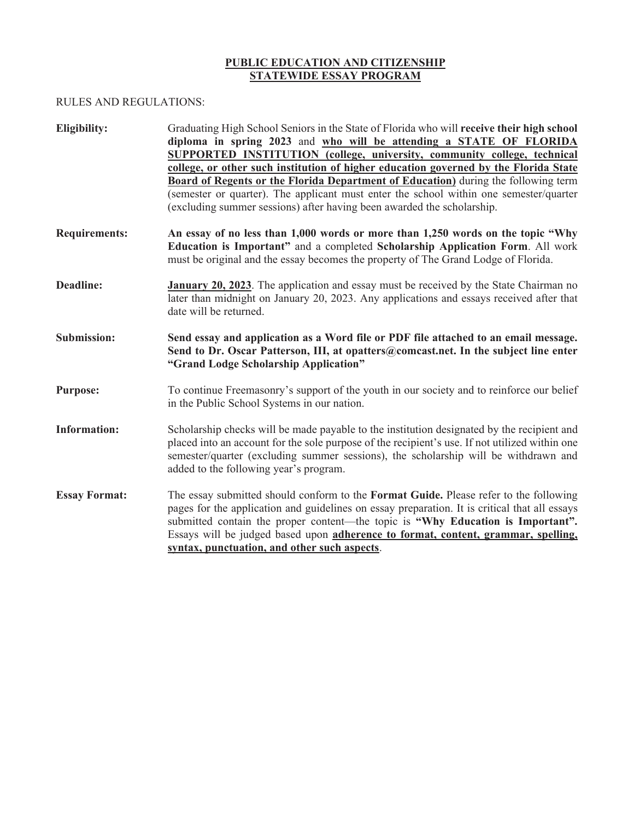## **PUBLIC EDUCATION AND CITIZENSHIP STATEWIDE ESSAY PROGRAM**

#### RULES AND REGULATIONS:

| Eligibility:         | Graduating High School Seniors in the State of Florida who will receive their high school<br>diploma in spring 2023 and who will be attending a STATE OF FLORIDA<br>SUPPORTED INSTITUTION (college, university, community college, technical<br>college, or other such institution of higher education governed by the Florida State<br><b>Board of Regents or the Florida Department of Education</b> ) during the following term<br>(semester or quarter). The applicant must enter the school within one semester/quarter<br>(excluding summer sessions) after having been awarded the scholarship. |  |  |
|----------------------|--------------------------------------------------------------------------------------------------------------------------------------------------------------------------------------------------------------------------------------------------------------------------------------------------------------------------------------------------------------------------------------------------------------------------------------------------------------------------------------------------------------------------------------------------------------------------------------------------------|--|--|
| <b>Requirements:</b> | An essay of no less than 1,000 words or more than 1,250 words on the topic "Why<br>Education is Important" and a completed Scholarship Application Form. All work<br>must be original and the essay becomes the property of The Grand Lodge of Florida.                                                                                                                                                                                                                                                                                                                                                |  |  |
| <b>Deadline:</b>     | <b>January 20, 2023</b> . The application and essay must be received by the State Chairman no<br>later than midnight on January 20, 2023. Any applications and essays received after that<br>date will be returned.                                                                                                                                                                                                                                                                                                                                                                                    |  |  |
| <b>Submission:</b>   | Send essay and application as a Word file or PDF file attached to an email message.<br>Send to Dr. Oscar Patterson, III, at opatters@comcast.net. In the subject line enter<br>"Grand Lodge Scholarship Application"                                                                                                                                                                                                                                                                                                                                                                                   |  |  |
| <b>Purpose:</b>      | To continue Freemasonry's support of the youth in our society and to reinforce our belief<br>in the Public School Systems in our nation.                                                                                                                                                                                                                                                                                                                                                                                                                                                               |  |  |
| <b>Information:</b>  | Scholarship checks will be made payable to the institution designated by the recipient and<br>placed into an account for the sole purpose of the recipient's use. If not utilized within one<br>semester/quarter (excluding summer sessions), the scholarship will be withdrawn and<br>added to the following year's program.                                                                                                                                                                                                                                                                          |  |  |
| <b>Essay Format:</b> | The essay submitted should conform to the <b>Format Guide</b> . Please refer to the following<br>pages for the application and guidelines on essay preparation. It is critical that all essays<br>submitted contain the proper content—the topic is "Why Education is Important".<br>Essays will be judged based upon adherence to format, content, grammar, spelling,<br>syntax, punctuation, and other such aspects.                                                                                                                                                                                 |  |  |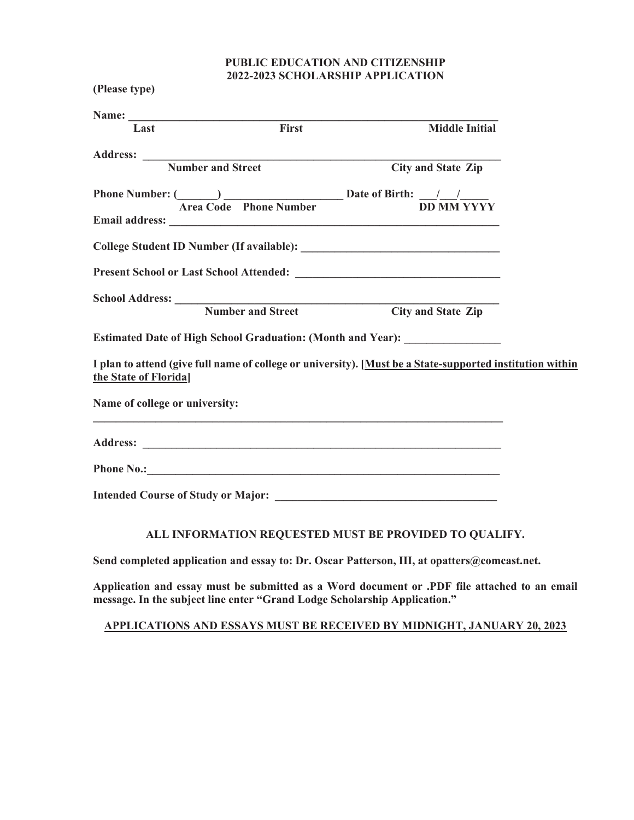## **PUBLIC EDUCATION AND CITIZENSHIP 2022-2023 SCHOLARSHIP APPLICATION**

|                                | Name: Tast First | <b>Middle Initial</b>                                                                                                                                                         |  |
|--------------------------------|------------------|-------------------------------------------------------------------------------------------------------------------------------------------------------------------------------|--|
|                                |                  |                                                                                                                                                                               |  |
|                                |                  | Address: Number and Street City and State Zip                                                                                                                                 |  |
|                                |                  |                                                                                                                                                                               |  |
|                                |                  | Phone Number: $\frac{1}{\sqrt{1-\frac{1}{n}}\sqrt{1-\frac{1}{n}}}$ Date of Birth: $\frac{1}{\sqrt{1-\frac{1}{n}}\sqrt{1-\frac{1}{n}}\sqrt{1-\frac{1}{n}}\sqrt{1-\frac{1}{n}}$ |  |
|                                |                  |                                                                                                                                                                               |  |
|                                |                  |                                                                                                                                                                               |  |
|                                |                  |                                                                                                                                                                               |  |
|                                |                  | School Address: Number and Street City and State Zip                                                                                                                          |  |
|                                |                  |                                                                                                                                                                               |  |
|                                |                  | Estimated Date of High School Graduation: (Month and Year): ____________________                                                                                              |  |
| the State of Florida]          |                  | I plan to attend (give full name of college or university). [Must be a State-supported institution within                                                                     |  |
| Name of college or university: |                  |                                                                                                                                                                               |  |
|                                |                  |                                                                                                                                                                               |  |
|                                |                  |                                                                                                                                                                               |  |
|                                |                  |                                                                                                                                                                               |  |

# **ALL INFORMATION REQUESTED MUST BE PROVIDED TO QUALIFY.**

**Send completed application and essay to: Dr. Oscar Patterson, III, at opatters@comcast.net.** 

**Application and essay must be submitted as a Word document or .PDF file attached to an email message. In the subject line enter "Grand Lodge Scholarship Application."** 

## **APPLICATIONS AND ESSAYS MUST BE RECEIVED BY MIDNIGHT, JANUARY 20, 2023**